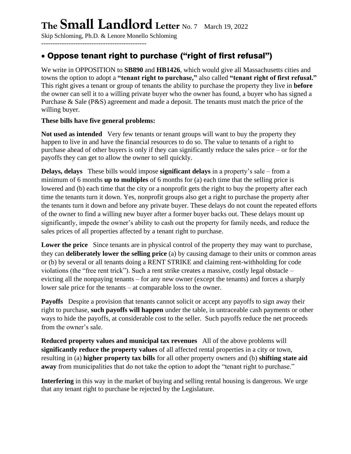# **The Small Landlord Letter** No. 7 March 19, 2022

Skip Schloming, Ph.D. & Lenore Monello Schloming ----------------------------------------------

# • Oppose tenant right to purchase ("right of first refusal")

We write in OPPOSITION to **SB890** and **HB1426**, which would give all Massachusetts cities and towns the option to adopt a **"tenant right to purchase,"** also called **"tenant right of first refusal."** This right gives a tenant or group of tenants the ability to purchase the property they live in **before** the owner can sell it to a willing private buyer who the owner has found, a buyer who has signed a Purchase & Sale (P&S) agreement and made a deposit. The tenants must match the price of the willing buyer.

#### **These bills have five general problems:**

Not used as intended Very few tenants or tenant groups will want to buy the property they happen to live in and have the financial resources to do so. The value to tenants of a right to purchase ahead of other buyers is only if they can significantly reduce the sales price – or for the payoffs they can get to allow the owner to sell quickly.

**Delays, delays** These bills would impose **significant delays** in a property's sale – from a minimum of 6 months **up to multiples** of 6 months for (a) each time that the selling price is lowered and (b) each time that the city or a nonprofit gets the right to buy the property after each time the tenants turn it down. Yes, nonprofit groups also get a right to purchase the property after the tenants turn it down and before any private buyer. These delays do not count the repeated efforts of the owner to find a willing new buyer after a former buyer backs out. These delays mount up significantly, impede the owner's ability to cash out the property for family needs, and reduce the sales prices of all properties affected by a tenant right to purchase.

**Lower the price** Since tenants are in physical control of the property they may want to purchase, they can **deliberately lower the selling price** (a) by causing damage to their units or common areas or (b) by several or all tenants doing a RENT STRIKE and claiming rent-withholding for code violations (the "free rent trick"). Such a rent strike creates a massive, costly legal obstacle – evicting all the nonpaying tenants – for any new owner (except the tenants) and forces a sharply lower sale price for the tenants – at comparable loss to the owner.

**Payoffs** Despite a provision that tenants cannot solicit or accept any payoffs to sign away their right to purchase, **such payoffs will happen** under the table, in untraceable cash payments or other ways to hide the payoffs, at considerable cost to the seller. Such payoffs reduce the net proceeds from the owner's sale.

**Reduced property values and municipal tax revenues** All of the above problems will **significantly reduce the property values** of all affected rental properties in a city or town, resulting in (a) **higher property tax bills** for all other property owners and (b) **shifting state aid away** from municipalities that do not take the option to adopt the "tenant right to purchase."

**Interfering** in this way in the market of buying and selling rental housing is dangerous. We urge that any tenant right to purchase be rejected by the Legislature.